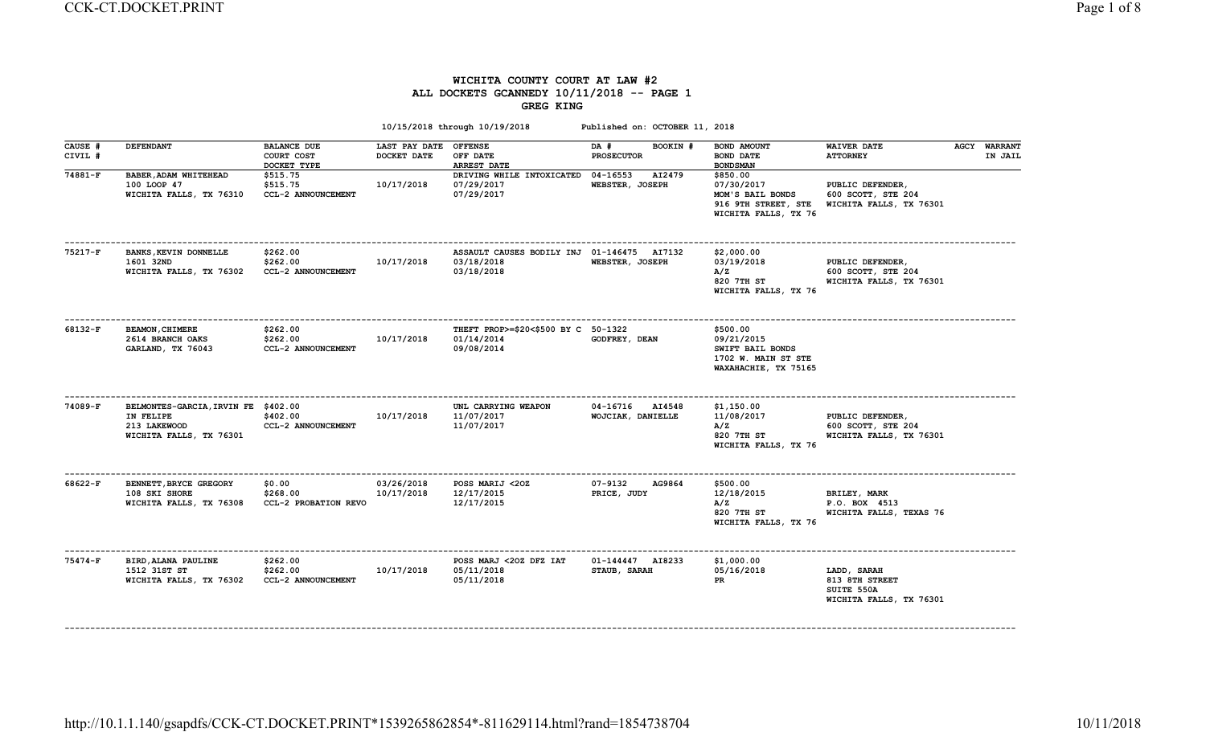# WICHITA COUNTY COURT AT LAW #2 ALL DOCKETS GCANNEDY 10/11/2018 -- PAGE 1 GREG KING

|                    |                                                                                             |                                                 |                                      | 10/15/2018 through 10/19/2018                                          | Published on: OCTOBER 11, 2018        |                                                                                           |                                                                        |                                |
|--------------------|---------------------------------------------------------------------------------------------|-------------------------------------------------|--------------------------------------|------------------------------------------------------------------------|---------------------------------------|-------------------------------------------------------------------------------------------|------------------------------------------------------------------------|--------------------------------|
| CAUSE #<br>CIVIL # | <b>DEFENDANT</b>                                                                            | <b>BALANCE DUE</b><br>COURT COST<br>DOCKET TYPE | LAST PAY DATE OFFENSE<br>DOCKET DATE | OFF DATE<br><b>ARREST DATE</b>                                         | DA #<br>BOOKIN #<br><b>PROSECUTOR</b> | BOND AMOUNT<br><b>BOND DATE</b><br><b>BOND SMAN</b>                                       | <b>WAIVER DATE</b><br><b>ATTORNEY</b>                                  | <b>AGCY WARRANT</b><br>IN JAIL |
| 74881-F            | BABER, ADAM WHITEHEAD<br>100 LOOP 47<br>WICHITA FALLS, TX 76310                             | \$515.75<br>\$515.75<br>CCL-2 ANNOUNCEMENT      | 10/17/2018                           | DRIVING WHILE INTOXICATED 04-16553<br>07/29/2017<br>07/29/2017         | AI2479<br>WEBSTER, JOSEPH             | \$850.00<br>07/30/2017<br>MOM'S BAIL BONDS<br>916 9TH STREET, STE<br>WICHITA FALLS, TX 76 | PUBLIC DEFENDER,<br>600 SCOTT, STE 204<br>WICHITA FALLS, TX 76301      |                                |
| 75217-F            | BANKS, KEVIN DONNELLE<br>1601 32ND<br>WICHITA FALLS, TX 76302                               | \$262.00<br>\$262.00<br>CCL-2 ANNOUNCEMENT      | 10/17/2018                           | ASSAULT CAUSES BODILY INJ 01-146475 AI7132<br>03/18/2018<br>03/18/2018 | WEBSTER, JOSEPH                       | \$2,000.00<br>03/19/2018<br>A/Z<br>820 7TH ST<br>WICHITA FALLS, TX 76                     | PUBLIC DEFENDER,<br>600 SCOTT, STE 204<br>WICHITA FALLS, TX 76301      |                                |
| 68132-F            | <b>BEAMON, CHIMERE</b><br>2614 BRANCH OAKS<br>GARLAND, TX 76043                             | \$262.00<br>\$262.00<br>CCL-2 ANNOUNCEMENT      | 10/17/2018                           | THEFT PROP>=\$20<\$500 BY C 50-1322<br>01/14/2014<br>09/08/2014        | GODFREY, DEAN                         | \$500.00<br>09/21/2015<br>SWIFT BAIL BONDS<br>1702 W. MAIN ST STE<br>WAXAHACHIE, TX 75165 |                                                                        |                                |
| 74089-F            | BELMONTES-GARCIA, IRVIN FE \$402.00<br>IN FELIPE<br>213 LAKEWOOD<br>WICHITA FALLS, TX 76301 | \$402.00<br>CCL-2 ANNOUNCEMENT                  | 10/17/2018                           | UNL CARRYING WEAPON<br>11/07/2017<br>11/07/2017                        | 04-16716 AI4548<br>WOJCIAK, DANIELLE  | \$1,150.00<br>11/08/2017<br>A/Z<br>820 7TH ST<br>WICHITA FALLS, TX 76                     | PUBLIC DEFENDER,<br>600 SCOTT, STE 204<br>WICHITA FALLS, TX 76301      |                                |
| 68622-F            | BENNETT, BRYCE GREGORY<br>108 SKI SHORE<br>WICHITA FALLS, TX 76308                          | \$0.00<br>\$268.00<br>CCL-2 PROBATION REVO      | 03/26/2018<br>10/17/2018             | POSS MARIJ <20Z<br>12/17/2015<br>12/17/2015                            | 07-9132<br>AG9864<br>PRICE, JUDY      | \$500.00<br>12/18/2015<br>A/Z<br>820 7TH ST<br>WICHITA FALLS, TX 76                       | <b>BRILEY, MARK</b><br>P.O. BOX 4513<br>WICHITA FALLS, TEXAS 76        |                                |
| 75474-F            | BIRD, ALANA PAULINE<br>1512 31ST ST<br>WICHITA FALLS, TX 76302                              | \$262.00<br>\$262.00<br>CCL-2 ANNOUNCEMENT      | 10/17/2018                           | POSS MARJ <20Z DFZ IAT<br>05/11/2018<br>05/11/2018                     | 01-144447 AI8233<br>STAUB, SARAH      | \$1,000.00<br>05/16/2018<br>PR                                                            | LADD, SARAH<br>813 8TH STREET<br>SUITE 550A<br>WICHITA FALLS, TX 76301 |                                |

------------------------------------------------------------------------------------------------------------------------------------------------------------------------------------------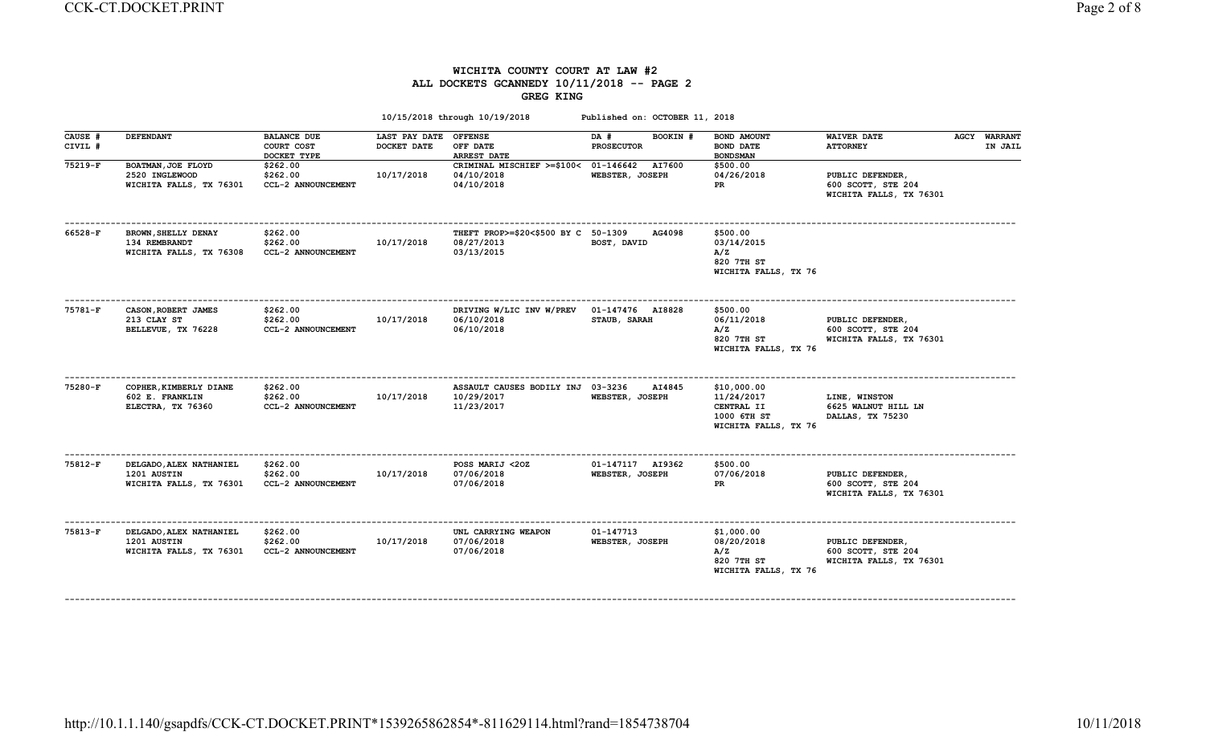## WICHITA COUNTY COURT AT LAW #2 ALL DOCKETS GCANNEDY 10/11/2018 -- PAGE 2 GREG KING

| <b>DEFENDANT</b>                                                  | <b>BALANCE DUE</b><br>COURT COST<br>DOCKET TYPE | DOCKET DATE | <b>OFFENSE</b><br>OFF DATE<br><b>ARREST DATE</b> | DA #<br>BOOKIN #<br><b>PROSECUTOR</b>          | BOND AMOUNT<br><b>BOND DATE</b><br><b>BONDSMAN</b>                                                                                           | <b>WAIVER DATE</b><br><b>ATTORNEY</b>                             | <b>AGCY WARRANT</b><br>IN JAIL |
|-------------------------------------------------------------------|-------------------------------------------------|-------------|--------------------------------------------------|------------------------------------------------|----------------------------------------------------------------------------------------------------------------------------------------------|-------------------------------------------------------------------|--------------------------------|
| BOATMAN, JOE FLOYD<br>2520 INGLEWOOD<br>WICHITA FALLS, TX 76301   | \$262.00<br>\$262.00<br>CCL-2 ANNOUNCEMENT      | 10/17/2018  | 04/10/2018<br>04/10/2018                         | AI7600<br>WEBSTER, JOSEPH                      | \$500.00<br>04/26/2018<br>PR                                                                                                                 | PUBLIC DEFENDER,<br>600 SCOTT, STE 204<br>WICHITA FALLS, TX 76301 |                                |
| BROWN, SHELLY DENAY<br>134 REMBRANDT<br>WICHITA FALLS, TX 76308   | \$262.00<br>\$262.00<br>CCL-2 ANNOUNCEMENT      | 10/17/2018  | 08/27/2013<br>03/13/2015                         | AG4098<br>BOST, DAVID                          | \$500.00<br>03/14/2015<br>A/Z<br>820 7TH ST<br>WICHITA FALLS, TX 76                                                                          |                                                                   |                                |
| CASON, ROBERT JAMES<br>213 CLAY ST<br>BELLEVUE, TX 76228          | \$262.00<br>\$262.00<br>CCL-2 ANNOUNCEMENT      | 10/17/2018  | 06/10/2018<br>06/10/2018                         | 01-147476 AI8828<br>STAUB, SARAH               | \$500.00<br>06/11/2018<br>A/Z<br>820 7TH ST<br>WICHITA FALLS, TX 76                                                                          | PUBLIC DEFENDER,<br>600 SCOTT, STE 204<br>WICHITA FALLS, TX 76301 |                                |
| COPHER, KIMBERLY DIANE<br>602 E. FRANKLIN<br>ELECTRA, TX 76360    | \$262.00<br>\$262.00<br>CCL-2 ANNOUNCEMENT      | 10/17/2018  | 10/29/2017<br>11/23/2017                         | AI4845<br>WEBSTER, JOSEPH                      | \$10,000.00<br>11/24/2017<br>CENTRAL II<br>1000 6TH ST<br>WICHITA FALLS, TX 76                                                               | LINE, WINSTON<br>6625 WALNUT HILL LN<br>DALLAS, TX 75230          |                                |
| DELGADO, ALEX NATHANIEL<br>1201 AUSTIN<br>WICHITA FALLS, TX 76301 | \$262.00<br>\$262.00<br>CCL-2 ANNOUNCEMENT      | 10/17/2018  | POSS MARIJ <20Z<br>07/06/2018<br>07/06/2018      | 01-147117 AI9362<br>WEBSTER, JOSEPH            | \$500.00<br>07/06/2018<br>PR                                                                                                                 | PUBLIC DEFENDER,<br>600 SCOTT, STE 204<br>WICHITA FALLS, TX 76301 |                                |
| DELGADO, ALEX NATHANIEL<br>1201 AUSTIN<br>WICHITA FALLS, TX 76301 | \$262.00<br>\$262.00<br>CCL-2 ANNOUNCEMENT      | 10/17/2018  | UNL CARRYING WEAPON<br>07/06/2018<br>07/06/2018  | 01-147713<br>WEBSTER, JOSEPH                   | \$1,000.00<br>08/20/2018<br>A/Z<br>820 7TH ST<br>WICHITA FALLS, TX 76                                                                        | PUBLIC DEFENDER,<br>600 SCOTT, STE 204                            |                                |
|                                                                   |                                                 |             |                                                  | 10/15/2018 through 10/19/2018<br>LAST PAY DATE | CRIMINAL MISCHIEF >=\$100< 01-146642<br>THEFT PROP>=\$20<\$500 BY C 50-1309<br>DRIVING W/LIC INV W/PREV<br>ASSAULT CAUSES BODILY INJ 03-3236 | Published on: OCTOBER 11, 2018                                    | WICHITA FALLS, TX 76301        |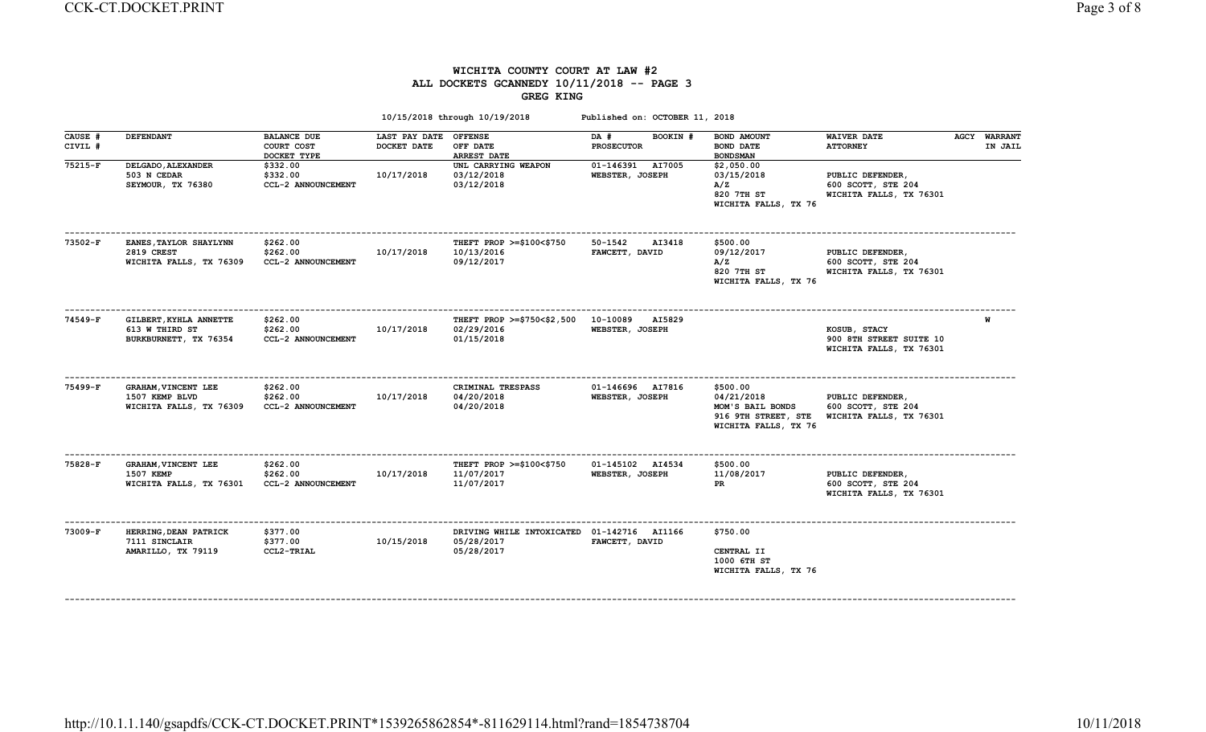## WICHITA COUNTY COURT AT LAW #2 ALL DOCKETS GCANNEDY 10/11/2018 -- PAGE 3 GREG KING

|                    |                                                                    |                                                 |                                      | 10/15/2018 through 10/19/2018                                            | Published on: OCTOBER 11, 2018        |                                                                                           |                                                                    |                                |
|--------------------|--------------------------------------------------------------------|-------------------------------------------------|--------------------------------------|--------------------------------------------------------------------------|---------------------------------------|-------------------------------------------------------------------------------------------|--------------------------------------------------------------------|--------------------------------|
| CAUSE #<br>CIVIL # | <b>DEFENDANT</b>                                                   | <b>BALANCE DUE</b><br>COURT COST<br>DOCKET TYPE | LAST PAY DATE OFFENSE<br>DOCKET DATE | OFF DATE<br><b>ARREST DATE</b>                                           | BOOKIN #<br>DA #<br><b>PROSECUTOR</b> | BOND AMOUNT<br><b>BOND DATE</b><br><b>BOND SMAN</b>                                       | <b>WAIVER DATE</b><br><b>ATTORNEY</b>                              | <b>AGCY WARRANT</b><br>IN JAIL |
| 75215-F            | DELGADO, ALEXANDER<br>503 N CEDAR<br>SEYMOUR, TX 76380             | \$332.00<br>\$332.00<br>CCL-2 ANNOUNCEMENT      | 10/17/2018                           | UNL CARRYING WEAPON<br>03/12/2018<br>03/12/2018                          | 01-146391 AI7005<br>WEBSTER, JOSEPH   | \$2,050.00<br>03/15/2018<br>A/Z<br>820 7TH ST<br>WICHITA FALLS, TX 76                     | PUBLIC DEFENDER,<br>600 SCOTT, STE 204<br>WICHITA FALLS, TX 76301  |                                |
| 73502-F            | EANES, TAYLOR SHAYLYNN<br>2819 CREST<br>WICHITA FALLS, TX 76309    | \$262.00<br>\$262.00<br>CCL-2 ANNOUNCEMENT      | 10/17/2018                           | THEFT PROP $>=$ \$100 $<$ \$750<br>10/13/2016<br>09/12/2017              | 50-1542<br>AI3418<br>FAWCETT, DAVID   | \$500.00<br>09/12/2017<br>A/Z<br>820 7TH ST<br>WICHITA FALLS, TX 76                       | PUBLIC DEFENDER,<br>600 SCOTT, STE 204<br>WICHITA FALLS, TX 76301  |                                |
| 74549-F            | GILBERT, KYHLA ANNETTE<br>613 W THIRD ST<br>BURKBURNETT, TX 76354  | \$262.00<br>\$262.00<br>CCL-2 ANNOUNCEMENT      | 10/17/2018                           | THEFT PROP >=\$750<\$2,500  10-10089  AI5829<br>02/29/2016<br>01/15/2018 | WEBSTER, JOSEPH                       |                                                                                           | KOSUB, STACY<br>900 8TH STREET SUITE 10<br>WICHITA FALLS, TX 76301 | W                              |
| 75499-F            | GRAHAM, VINCENT LEE<br>1507 KEMP BLVD<br>WICHITA FALLS, TX 76309   | \$262.00<br>\$262.00<br>CCL-2 ANNOUNCEMENT      | 10/17/2018                           | CRIMINAL TRESPASS<br>04/20/2018<br>04/20/2018                            | 01-146696 AI7816<br>WEBSTER, JOSEPH   | \$500.00<br>04/21/2018<br>MOM'S BAIL BONDS<br>916 9TH STREET, STE<br>WICHITA FALLS, TX 76 | PUBLIC DEFENDER,<br>600 SCOTT, STE 204<br>WICHITA FALLS, TX 76301  |                                |
| 75828-F            | <b>GRAHAM, VINCENT LEE</b><br>1507 KEMP<br>WICHITA FALLS, TX 76301 | \$262.00<br>\$262.00<br>CCL-2 ANNOUNCEMENT      | 10/17/2018                           | THEFT PROP $>=\$100<\$750$<br>11/07/2017<br>11/07/2017                   | 01-145102 AI4534<br>WEBSTER, JOSEPH   | \$500.00<br>11/08/2017<br>PR                                                              | PUBLIC DEFENDER,<br>600 SCOTT, STE 204<br>WICHITA FALLS, TX 76301  |                                |
| 73009-F            | HERRING, DEAN PATRICK<br>7111 SINCLAIR<br>AMARILLO, TX 79119       | \$377.00<br>\$377.00<br>CCL2-TRIAL              | 10/15/2018                           | DRIVING WHILE INTOXICATED 01-142716 AI1166<br>05/28/2017<br>05/28/2017   | FAWCETT, DAVID                        | \$750.00<br>CENTRAL II<br>1000 6TH ST<br>WICHITA FALLS, TX 76                             |                                                                    |                                |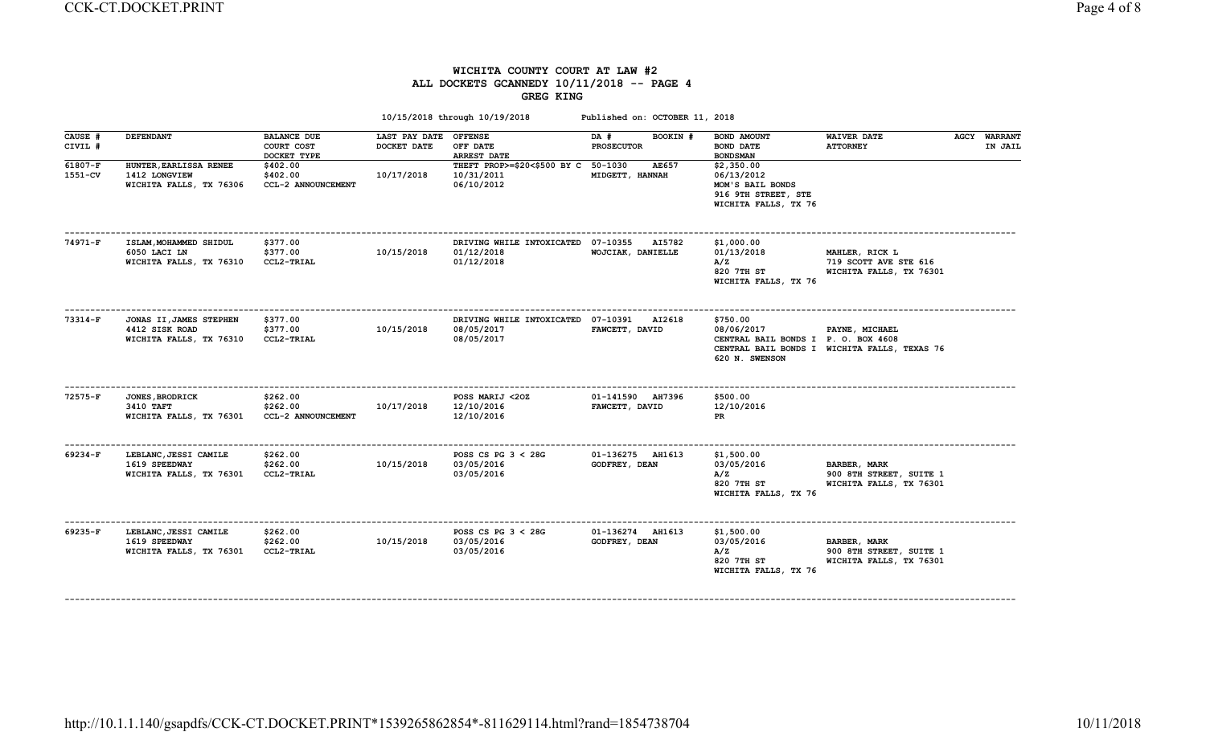### WICHITA COUNTY COURT AT LAW #2 ALL DOCKETS GCANNEDY 10/11/2018 -- PAGE 4 GREG KING

| <b>DEFENDANT</b>                                                     | <b>BALANCE DUE</b><br>COURT COST<br>DOCKET TYPE | DOCKET DATE | OFF DATE<br><b>ARREST DATE</b>                    | DA #<br>BOOKIN #<br><b>PROSECUTOR</b> | BOND AMOUNT<br><b>BOND DATE</b><br><b>BOND SMAN</b>                                                             | <b>WAIVER DATE</b><br><b>ATTORNEY</b>                              |                                                                                     | <b>AGCY WARRANT</b><br>IN JAIL |
|----------------------------------------------------------------------|-------------------------------------------------|-------------|---------------------------------------------------|---------------------------------------|-----------------------------------------------------------------------------------------------------------------|--------------------------------------------------------------------|-------------------------------------------------------------------------------------|--------------------------------|
| HUNTER, EARLISSA RENEE<br>1412 LONGVIEW<br>WICHITA FALLS, TX 76306   | \$402.00<br>\$402.00<br>CCL-2 ANNOUNCEMENT      | 10/17/2018  | 10/31/2011<br>06/10/2012                          | AE657<br>MIDGETT, HANNAH              | \$2,350.00<br>06/13/2012<br>MOM'S BAIL BONDS<br>916 9TH STREET, STE<br>WICHITA FALLS, TX 76                     |                                                                    |                                                                                     |                                |
| ISLAM, MOHAMMED SHIDUL<br>6050 LACI LN<br>WICHITA FALLS, TX 76310    | \$377.00<br>\$377.00<br>CCL2-TRIAL              | 10/15/2018  | 01/12/2018<br>01/12/2018                          | <b>AI5782</b><br>WOJCIAK, DANIELLE    | \$1,000.00<br>01/13/2018<br>A/Z<br>820 7TH ST<br>WICHITA FALLS, TX 76                                           | MAHLER, RICK L<br>719 SCOTT AVE STE 616<br>WICHITA FALLS, TX 76301 |                                                                                     |                                |
| JONAS II, JAMES STEPHEN<br>4412 SISK ROAD<br>WICHITA FALLS, TX 76310 | \$377.00<br>\$377.00<br>CCL2-TRIAL              | 10/15/2018  | 08/05/2017<br>08/05/2017                          | AI2618<br>FAWCETT, DAVID              | \$750.00<br>08/06/2017<br>620 N. SWENSON                                                                        | PAYNE, MICHAEL                                                     |                                                                                     |                                |
| <b>JONES, BRODRICK</b><br>3410 TAFT<br>WICHITA FALLS, TX 76301       | \$262.00<br>\$262.00<br>CCL-2 ANNOUNCEMENT      | 10/17/2018  | POSS MARIJ <20Z<br>12/10/2016<br>12/10/2016       | 01-141590 AH7396<br>FAWCETT, DAVID    | \$500.00<br>12/10/2016<br>PR                                                                                    |                                                                    |                                                                                     |                                |
| LEBLANC, JESSI CAMILE<br>1619 SPEEDWAY<br>WICHITA FALLS, TX 76301    | \$262.00<br>\$262.00<br>CCL2-TRIAL              | 10/15/2018  | POSS CS PG $3 < 28$ G<br>03/05/2016<br>03/05/2016 | 01-136275 AH1613<br>GODFREY, DEAN     | \$1,500.00<br>03/05/2016<br>A/Z<br>820 7TH ST<br>WICHITA FALLS, TX 76                                           | BARBER, MARK<br>900 8TH STREET, SUITE 1<br>WICHITA FALLS, TX 76301 |                                                                                     |                                |
| LEBLANC, JESSI CAMILE<br>1619 SPEEDWAY<br>WICHITA FALLS, TX 76301    | \$262.00<br>\$262.00<br>CCL2-TRIAL              | 10/15/2018  | POSS CS PG $3 < 28$ G<br>03/05/2016<br>03/05/2016 | 01-136274 AH1613<br>GODFREY, DEAN     | \$1,500.00<br>03/05/2016<br>A/Z<br>820 7TH ST<br>WICHITA FALLS, TX 76                                           | BARBER, MARK<br>900 8TH STREET, SUITE 1<br>WICHITA FALLS, TX 76301 |                                                                                     |                                |
|                                                                      |                                                 |             |                                                   | LAST PAY DATE OFFENSE                 | THEFT PROP>=\$20<\$500 BY C 50-1030<br>DRIVING WHILE INTOXICATED 07-10355<br>DRIVING WHILE INTOXICATED 07-10391 | 10/15/2018 through 10/19/2018<br>Published on: OCTOBER 11, 2018    | CENTRAL BAIL BONDS I P. O. BOX 4608<br>CENTRAL BAIL BONDS I WICHITA FALLS, TEXAS 76 |                                |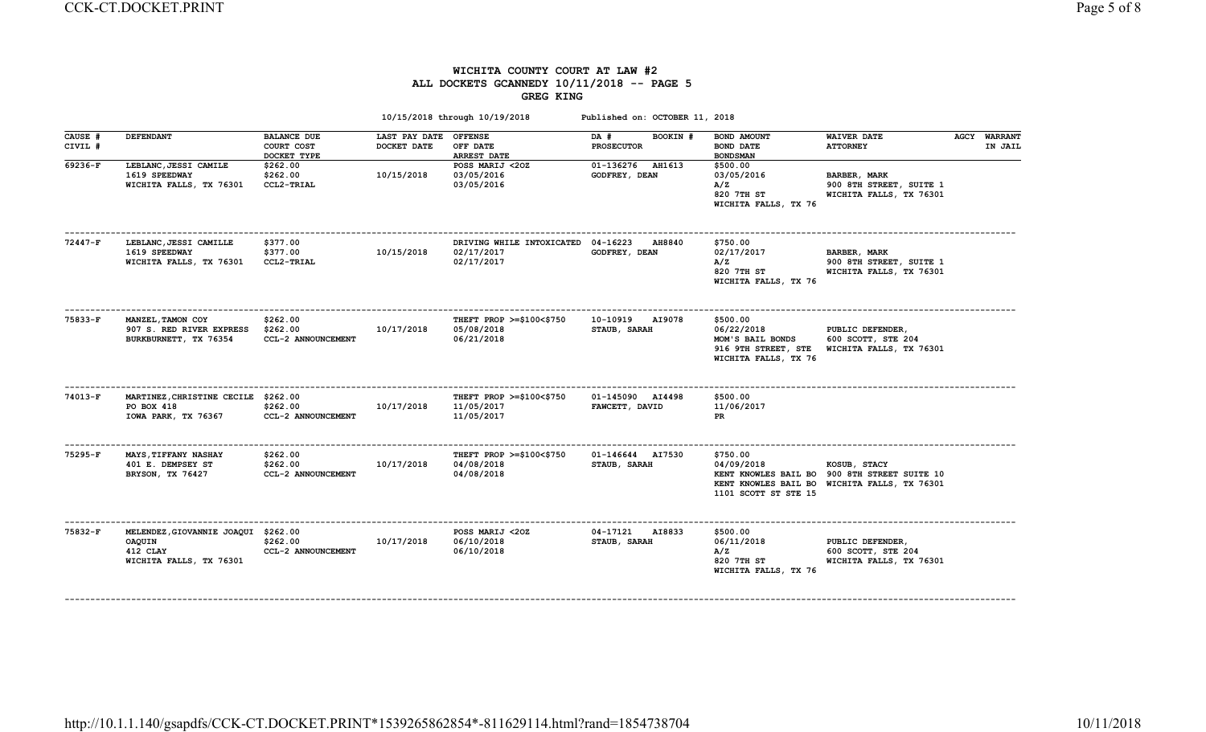## WICHITA COUNTY COURT AT LAW #2 ALL DOCKETS GCANNEDY 10/11/2018 -- PAGE 5 GREG KING

| <b>DEFENDANT</b>                                                       | <b>BALANCE DUE</b><br>COURT COST<br>DOCKET TYPE | DOCKET DATE                                                                | <b>OFFENSE</b><br>OFF DATE<br><b>ARREST DATE</b>     | DA #<br>BOOKIN #<br><b>PROSECUTOR</b>     | BOND AMOUNT<br>BOND DATE<br><b>BOND SMAN</b>                                              | <b>WAIVER DATE</b><br><b>ATTORNEY</b>                                     |                                                                                                                         | <b>AGCY WARRANT</b><br>IN JAIL |
|------------------------------------------------------------------------|-------------------------------------------------|----------------------------------------------------------------------------|------------------------------------------------------|-------------------------------------------|-------------------------------------------------------------------------------------------|---------------------------------------------------------------------------|-------------------------------------------------------------------------------------------------------------------------|--------------------------------|
| LEBLANC, JESSI CAMILE<br>1619 SPEEDWAY<br>WICHITA FALLS, TX 76301      | \$262.00<br>\$262.00<br>CCL2-TRIAL              | 10/15/2018                                                                 | POSS MARIJ <20Z<br>03/05/2016<br>03/05/2016          | 01-136276 AH1613<br>GODFREY, DEAN         | \$500.00<br>03/05/2016<br>A/Z<br>820 7TH ST<br>WICHITA FALLS, TX 76                       | BARBER, MARK<br>900 8TH STREET, SUITE 1<br>WICHITA FALLS, TX 76301        |                                                                                                                         |                                |
| LEBLANC, JESSI CAMILLE<br>1619 SPEEDWAY<br>WICHITA FALLS, TX 76301     | \$377.00<br>\$377.00<br>CCL2-TRIAL              | 10/15/2018                                                                 | 02/17/2017<br>02/17/2017                             | <b>AH8840</b><br>GODFREY, DEAN            | \$750.00<br>02/17/2017<br>A/Z<br>820 7TH ST<br>WICHITA FALLS, TX 76                       | <b>BARBER, MARK</b><br>900 8TH STREET, SUITE 1<br>WICHITA FALLS, TX 76301 |                                                                                                                         |                                |
| MANZEL, TAMON COY<br>907 S. RED RIVER EXPRESS<br>BURKBURNETT, TX 76354 | \$262.00<br>\$262.00<br>CCL-2 ANNOUNCEMENT      | 10/17/2018                                                                 | THEFT PROP >=\$100<\$750<br>05/08/2018<br>06/21/2018 | 10-10919<br><b>AI9078</b><br>STAUB, SARAH | \$500.00<br>06/22/2018<br>MOM'S BAIL BONDS<br>916 9TH STREET, STE<br>WICHITA FALLS, TX 76 | PUBLIC DEFENDER,<br>600 SCOTT, STE 204<br>WICHITA FALLS, TX 76301         |                                                                                                                         |                                |
| PO BOX 418<br>IOWA PARK, TX 76367                                      | \$262.00<br>CCL-2 ANNOUNCEMENT                  | 10/17/2018                                                                 | THEFT PROP >=\$100<\$750<br>11/05/2017<br>11/05/2017 | 01-145090 AI4498<br>FAWCETT, DAVID        | \$500.00<br>11/06/2017<br>PR                                                              |                                                                           |                                                                                                                         |                                |
| <b>MAYS, TIFFANY NASHAY</b><br>401 E. DEMPSEY ST<br>BRYSON, TX 76427   | \$262.00<br>\$262.00<br>CCL-2 ANNOUNCEMENT      | 10/17/2018                                                                 | THEFT PROP >=\$100<\$750<br>04/08/2018<br>04/08/2018 | 01-146644 AI7530<br>STAUB, SARAH          | \$750.00<br>04/09/2018<br>1101 SCOTT ST STE 15                                            | KOSUB, STACY                                                              |                                                                                                                         |                                |
| OAQUIN<br>412 CLAY<br>WICHITA FALLS, TX 76301                          | \$262.00<br>CCL-2 ANNOUNCEMENT                  | 10/17/2018                                                                 | POSS MARIJ <20Z<br>06/10/2018<br>06/10/2018          | 04-17121<br>AI8833<br>STAUB, SARAH        | \$500.00<br>06/11/2018<br>A/Z<br>820 7TH ST<br>WICHITA FALLS, TX 76                       | PUBLIC DEFENDER,<br>600 SCOTT, STE 204                                    |                                                                                                                         |                                |
|                                                                        |                                                 | MARTINEZ, CHRISTINE CECILE \$262.00<br>MELENDEZ, GIOVANNIE JOAQUI \$262.00 |                                                      | LAST PAY DATE                             | DRIVING WHILE INTOXICATED 04-16223                                                        | 10/15/2018 through 10/19/2018<br>Published on: OCTOBER 11, 2018           | KENT KNOWLES BAIL BO 900 8TH STREET SUITE 10<br>KENT KNOWLES BAIL BO WICHITA FALLS, TX 76301<br>WICHITA FALLS, TX 76301 |                                |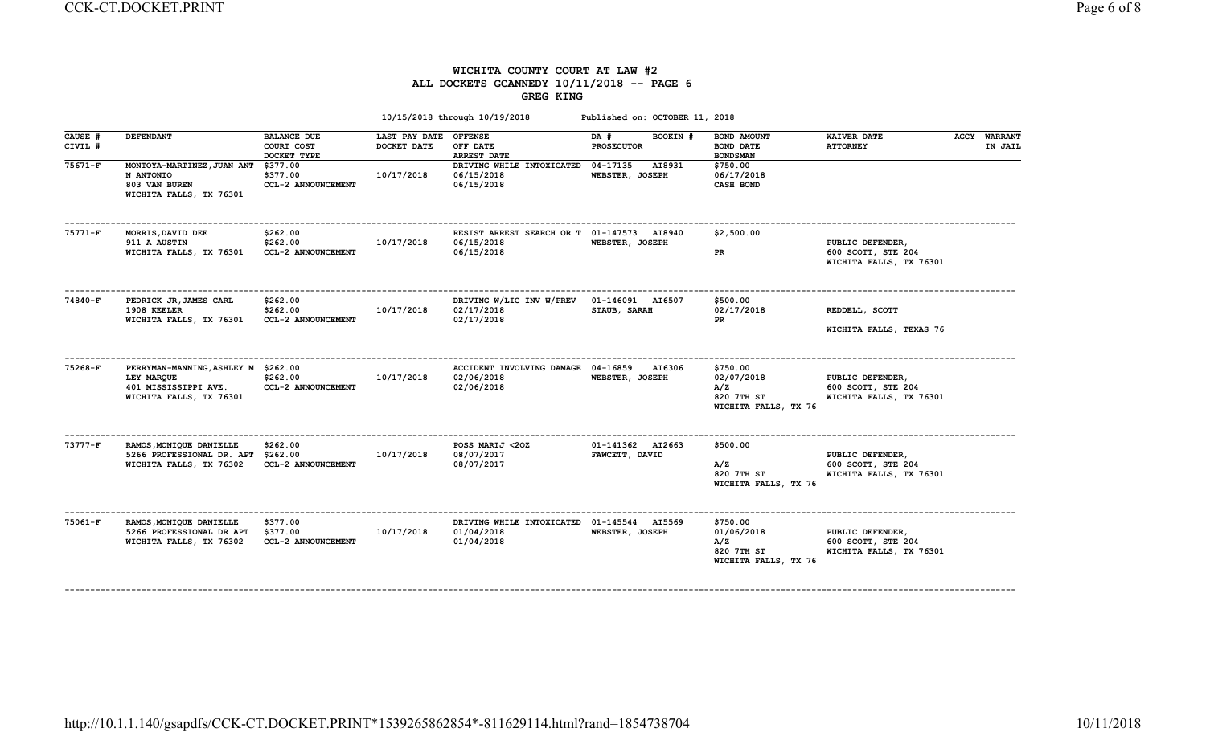### WICHITA COUNTY COURT AT LAW #2 ALL DOCKETS GCANNEDY 10/11/2018 -- PAGE 6 GREG KING

| CAUSE #   | <b>DEFENDANT</b>                                    | <b>BALANCE DUE</b>             | LAST PAY DATE OFFENSE |                                            | BOOKIN #<br>DA #                 | BOND AMOUNT                                             | <b>WAIVER DATE</b>                                                | <b>AGCY WARRANT</b> |
|-----------|-----------------------------------------------------|--------------------------------|-----------------------|--------------------------------------------|----------------------------------|---------------------------------------------------------|-------------------------------------------------------------------|---------------------|
| CIVIL #   |                                                     | COURT COST                     | DOCKET DATE           | OFF DATE                                   | <b>PROSECUTOR</b>                | <b>BOND DATE</b>                                        | <b>ATTORNEY</b>                                                   | IN JAIL             |
|           |                                                     | DOCKET TYPE                    |                       | ARREST DATE                                |                                  | <b>BOND SMAN</b>                                        |                                                                   |                     |
| 75671-F   | MONTOYA-MARTINEZ, JUAN ANT                          | \$377.00                       |                       | DRIVING WHILE INTOXICATED                  | 04-17135<br>AI8931               | \$750.00                                                |                                                                   |                     |
|           | N ANTONIO<br>803 VAN BUREN                          | \$377.00<br>CCL-2 ANNOUNCEMENT | 10/17/2018            | 06/15/2018<br>06/15/2018                   | WEBSTER, JOSEPH                  | 06/17/2018<br>CASH BOND                                 |                                                                   |                     |
|           | WICHITA FALLS, TX 76301                             |                                |                       |                                            |                                  |                                                         |                                                                   |                     |
| $75771-F$ | MORRIS, DAVID DEE                                   | \$262.00                       |                       | RESIST ARREST SEARCH OR T 01-147573 AI8940 |                                  | \$2,500.00                                              |                                                                   |                     |
|           | 911 A AUSTIN                                        | \$262.00                       | 10/17/2018            | 06/15/2018<br>06/15/2018                   | WEBSTER, JOSEPH                  |                                                         | PUBLIC DEFENDER,                                                  |                     |
|           | WICHITA FALLS, TX 76301                             | CCL-2 ANNOUNCEMENT             |                       |                                            |                                  | PR                                                      | 600 SCOTT, STE 204<br>WICHITA FALLS, TX 76301                     |                     |
| 74840-F   | PEDRICK JR, JAMES CARL<br>1908 KEELER               | \$262.00<br>\$262.00           | 10/17/2018            | DRIVING W/LIC INV W/PREV<br>02/17/2018     | 01-146091 AI6507<br>STAUB, SARAH | \$500.00<br>02/17/2018                                  | REDDELL, SCOTT                                                    |                     |
|           | WICHITA FALLS, TX 76301                             | CCL-2 ANNOUNCEMENT             |                       | 02/17/2018                                 |                                  | <b>PR</b>                                               |                                                                   |                     |
|           |                                                     |                                |                       |                                            |                                  |                                                         | WICHITA FALLS, TEXAS 76                                           |                     |
| 75268-F   | PERRYMAN-MANNING, ASHLEY M \$262.00                 |                                |                       | ACCIDENT INVOLVING DAMAGE 04-16859         | AI6306                           | \$750.00                                                |                                                                   |                     |
|           | LEY MARQUE                                          | \$262.00                       | 10/17/2018            | 02/06/2018                                 | WEBSTER, JOSEPH                  | 02/07/2018                                              | PUBLIC DEFENDER,                                                  |                     |
|           | 401 MISSISSIPPI AVE.<br>WICHITA FALLS, TX 76301     | CCL-2 ANNOUNCEMENT             |                       | 02/06/2018                                 |                                  | A/Z<br>820 7TH ST<br>WICHITA FALLS, TX 76               | 600 SCOTT, STE 204<br>WICHITA FALLS, TX 76301                     |                     |
| $73777-F$ | RAMOS, MONIQUE DANIELLE                             | \$262.00                       |                       | POSS MARIJ <20Z                            | 01-141362 AI2663                 | \$500.00                                                |                                                                   |                     |
|           | 5266 PROFESSIONAL DR. APT \$262.00                  |                                | 10/17/2018            | 08/07/2017                                 | FAWCETT, DAVID                   |                                                         | PUBLIC DEFENDER,                                                  |                     |
|           | WICHITA FALLS, TX 76302                             | CCL-2 ANNOUNCEMENT             |                       | 08/07/2017                                 |                                  | A/Z<br>820 7TH ST                                       | 600 SCOTT, STE 204<br>WICHITA FALLS, TX 76301                     |                     |
|           |                                                     |                                |                       |                                            |                                  | WICHITA FALLS, TX 76                                    |                                                                   |                     |
| 75061-F   | RAMOS, MONIQUE DANIELLE                             | \$377.00                       |                       | DRIVING WHILE INTOXICATED 01-145544 AI5569 |                                  | \$750.00                                                |                                                                   |                     |
|           | 5266 PROFESSIONAL DR APT<br>WICHITA FALLS, TX 76302 | \$377.00<br>CCL-2 ANNOUNCEMENT | 10/17/2018            | 01/04/2018<br>01/04/2018                   | WEBSTER, JOSEPH                  | 01/06/2018<br>A/Z<br>820 7TH ST<br>WICHITA FALLS, TX 76 | PUBLIC DEFENDER,<br>600 SCOTT, STE 204<br>WICHITA FALLS, TX 76301 |                     |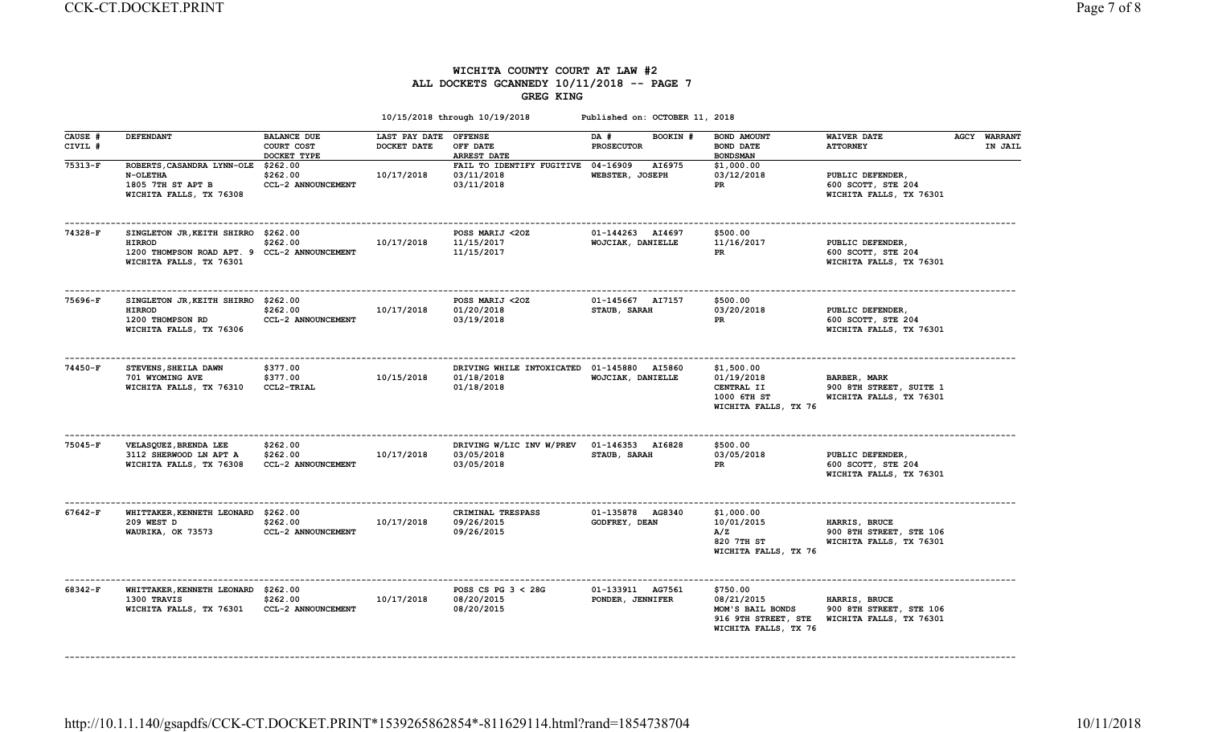#### WICHITA COUNTY COURT AT LAW #2 ALL DOCKETS GCANNEDY 10/11/2018 -- PAGE 7 GREG KING

|                    |                                                                                                                                 |                                                 |                              | 10/15/2018 through 10/19/2018                                  | Published on: OCTOBER 11, 2018        |                                                                                           |                                                                     |                                |
|--------------------|---------------------------------------------------------------------------------------------------------------------------------|-------------------------------------------------|------------------------------|----------------------------------------------------------------|---------------------------------------|-------------------------------------------------------------------------------------------|---------------------------------------------------------------------|--------------------------------|
| CAUSE #<br>CIVIL # | <b>DEFENDANT</b>                                                                                                                | <b>BALANCE DUE</b><br>COURT COST<br>DOCKET TYPE | LAST PAY DATE<br>DOCKET DATE | <b>OFFENSE</b><br>OFF DATE<br>ARREST DATE                      | DA #<br>BOOKIN #<br><b>PROSECUTOR</b> | BOND AMOUNT<br>BOND DATE<br><b>BONDSMAN</b>                                               | <b>WAIVER DATE</b><br><b>ATTORNEY</b>                               | <b>AGCY WARRANT</b><br>IN JAIL |
| $75313-F$          | ROBERTS, CASANDRA LYNN-OLE<br>N-OLETHA<br>1805 7TH ST APT B<br>WICHITA FALLS, TX 76308                                          | \$262.00<br>\$262.00<br>CCL-2 ANNOUNCEMENT      | 10/17/2018                   | FAIL TO IDENTIFY FUGITIVE 04-16909<br>03/11/2018<br>03/11/2018 | AI6975<br>WEBSTER, JOSEPH             | \$1,000.00<br>03/12/2018<br>PR.                                                           | PUBLIC DEFENDER,<br>600 SCOTT, STE 204<br>WICHITA FALLS, TX 76301   |                                |
| 74328-F            | SINGLETON JR, KEITH SHIRRO \$262.00<br><b>HIRROD</b><br>1200 THOMPSON ROAD APT. 9 CCL-2 ANNOUNCEMENT<br>WICHITA FALLS, TX 76301 | \$262.00                                        | 10/17/2018                   | POSS MARIJ <20Z<br>11/15/2017<br>11/15/2017                    | 01-144263 AI4697<br>WOJCIAK, DANIELLE | \$500.00<br>11/16/2017<br>PR                                                              | PUBLIC DEFENDER,<br>600 SCOTT, STE 204<br>WICHITA FALLS, TX 76301   |                                |
| 75696-F            | SINGLETON JR, KEITH SHIRRO \$262.00<br><b>HIRROD</b><br>1200 THOMPSON RD<br>WICHITA FALLS, TX 76306                             | \$262.00<br>CCL-2 ANNOUNCEMENT                  | 10/17/2018                   | POSS MARIJ <20Z<br>01/20/2018<br>03/19/2018                    | 01-145667 AI7157<br>STAUB, SARAH      | \$500.00<br>03/20/2018<br><b>PR</b>                                                       | PUBLIC DEFENDER,<br>600 SCOTT, STE 204<br>WICHITA FALLS, TX 76301   |                                |
| 74450-F            | STEVENS, SHEILA DAWN<br>701 WYOMING AVE<br>WICHITA FALLS, TX 76310                                                              | \$377.00<br>\$377.00<br>CCL2-TRIAL              | 10/15/2018                   | DRIVING WHILE INTOXICATED<br>01/18/2018<br>01/18/2018          | 01-145880 AI5860<br>WOJCIAK, DANIELLE | \$1,500.00<br>01/19/2018<br>CENTRAL II<br>1000 6TH ST<br>WICHITA FALLS, TX 76             | BARBER, MARK<br>900 8TH STREET, SUITE 1<br>WICHITA FALLS, TX 76301  |                                |
| $75045 - F$        | VELASQUEZ, BRENDA LEE<br>3112 SHERWOOD LN APT A<br>WICHITA FALLS, TX 76308                                                      | \$262.00<br>\$262.00<br>CCL-2 ANNOUNCEMENT      | 10/17/2018                   | DRIVING W/LIC INV W/PREV<br>03/05/2018<br>03/05/2018           | 01-146353 AI6828<br>STAUB, SARAH      | \$500.00<br>03/05/2018<br>PR                                                              | PUBLIC DEFENDER,<br>600 SCOTT, STE 204<br>WICHITA FALLS, TX 76301   |                                |
| 67642-F            | WHITTAKER, KENNETH LEONARD \$262.00<br>209 WEST D<br>WAURIKA, OK 73573                                                          | \$262.00<br>CCL-2 ANNOUNCEMENT                  | 10/17/2018                   | CRIMINAL TRESPASS<br>09/26/2015<br>09/26/2015                  | 01-135878 AG8340<br>GODFREY, DEAN     | \$1,000.00<br>10/01/2015<br>A/Z<br>820 7TH ST<br>WICHITA FALLS, TX 76                     | HARRIS, BRUCE<br>900 8TH STREET, STE 106<br>WICHITA FALLS, TX 76301 |                                |
| 68342-F            | WHITTAKER, KENNETH LEONARD \$262.00<br>1300 TRAVIS<br>WICHITA FALLS, TX 76301                                                   | \$262.00<br>CCL-2 ANNOUNCEMENT                  | 10/17/2018                   | POSS CS PG $3 < 28$ G<br>08/20/2015<br>08/20/2015              | 01-133911 AG7561<br>PONDER, JENNIFER  | \$750.00<br>08/21/2015<br>MOM'S BAIL BONDS<br>916 9TH STREET, STE<br>WICHITA FALLS, TX 76 | HARRIS, BRUCE<br>900 8TH STREET, STE 106<br>WICHITA FALLS, TX 76301 |                                |

------------------------------------------------------------------------------------------------------------------------------------------------------------------------------------------